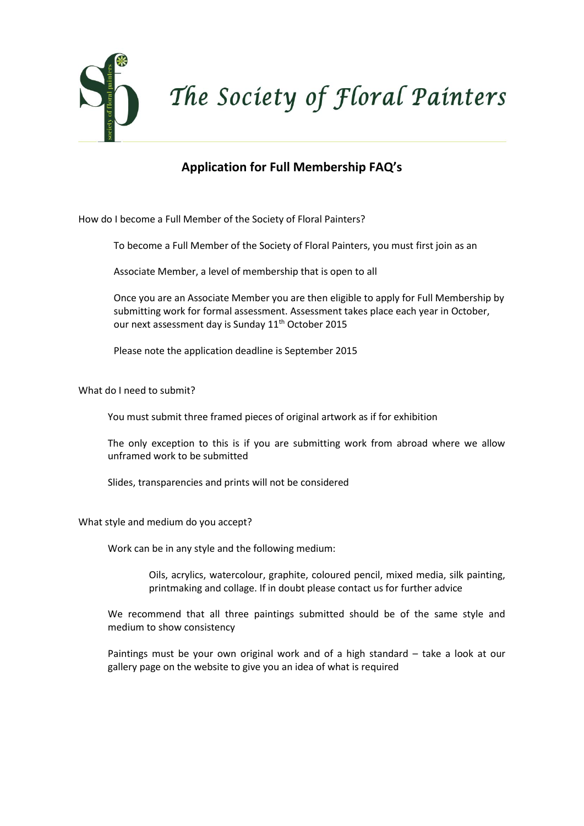

## **Application for Full Membership FAQ's**

How do I become a Full Member of the Society of Floral Painters?

To become a Full Member of the Society of Floral Painters, you must first join as an

Associate Member, a level of membership that is open to all

Once you are an Associate Member you are then eligible to apply for Full Membership by submitting work for formal assessment. Assessment takes place each year in October, our next assessment day is Sunday 11<sup>th</sup> October 2015

Please note the application deadline is September 2015

What do I need to submit?

You must submit three framed pieces of original artwork as if for exhibition

The only exception to this is if you are submitting work from abroad where we allow unframed work to be submitted

Slides, transparencies and prints will not be considered

What style and medium do you accept?

Work can be in any style and the following medium:

Oils, acrylics, watercolour, graphite, coloured pencil, mixed media, silk painting, printmaking and collage. If in doubt please contact us for further advice

We recommend that all three paintings submitted should be of the same style and medium to show consistency

Paintings must be your own original work and of a high standard – take a look at our gallery page on the website to give you an idea of what is required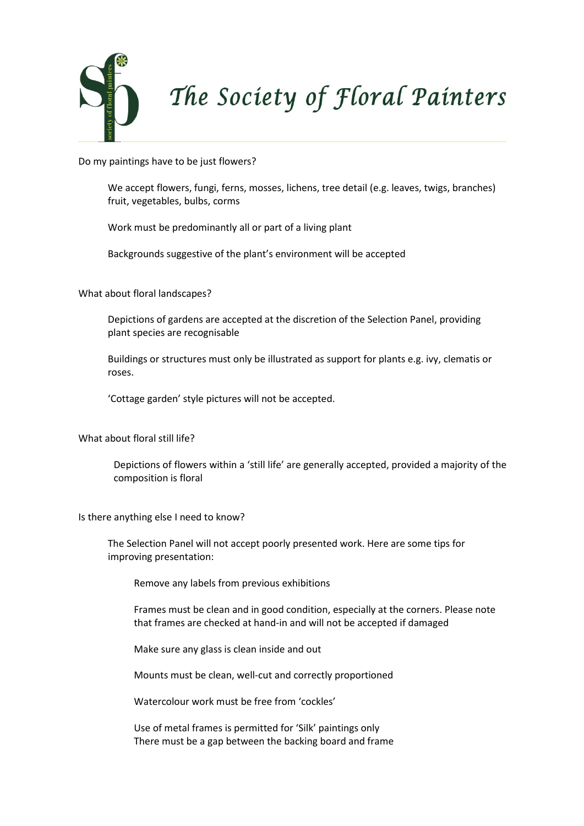

Do my paintings have to be just flowers?

We accept flowers, fungi, ferns, mosses, lichens, tree detail (e.g. leaves, twigs, branches) fruit, vegetables, bulbs, corms

Work must be predominantly all or part of a living plant

Backgrounds suggestive of the plant's environment will be accepted

What about floral landscapes?

Depictions of gardens are accepted at the discretion of the Selection Panel, providing plant species are recognisable

Buildings or structures must only be illustrated as support for plants e.g. ivy, clematis or roses.

'Cottage garden' style pictures will not be accepted.

What about floral still life?

Depictions of flowers within a 'still life' are generally accepted, provided a majority of the composition is floral

Is there anything else I need to know?

The Selection Panel will not accept poorly presented work. Here are some tips for improving presentation:

Remove any labels from previous exhibitions

Frames must be clean and in good condition, especially at the corners. Please note that frames are checked at hand-in and will not be accepted if damaged

Make sure any glass is clean inside and out

Mounts must be clean, well-cut and correctly proportioned

Watercolour work must be free from 'cockles'

Use of metal frames is permitted for 'Silk' paintings only There must be a gap between the backing board and frame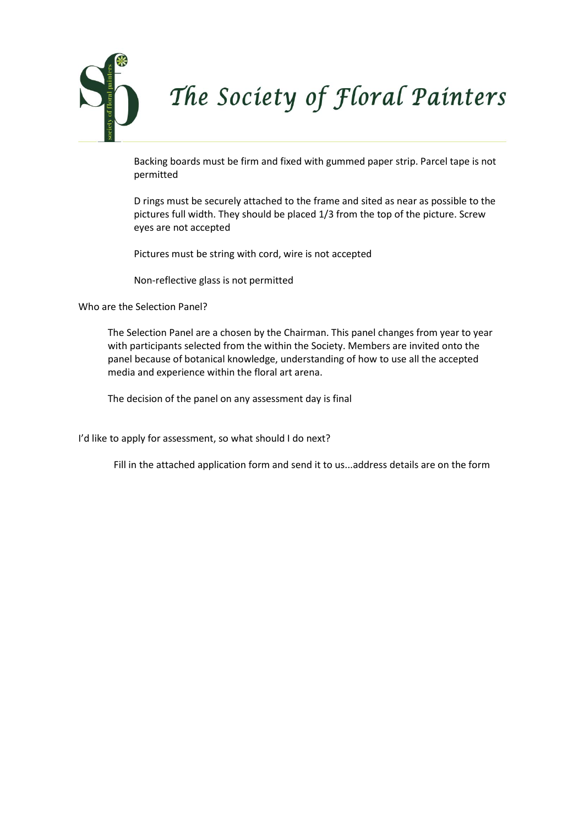

Backing boards must be firm and fixed with gummed paper strip. Parcel tape is not permitted

D rings must be securely attached to the frame and sited as near as possible to the pictures full width. They should be placed 1/3 from the top of the picture. Screw eyes are not accepted

Pictures must be string with cord, wire is not accepted

Non-reflective glass is not permitted

Who are the Selection Panel?

The Selection Panel are a chosen by the Chairman. This panel changes from year to year with participants selected from the within the Society. Members are invited onto the panel because of botanical knowledge, understanding of how to use all the accepted media and experience within the floral art arena.

The decision of the panel on any assessment day is final

I'd like to apply for assessment, so what should I do next?

Fill in the attached application form and send it to us...address details are on the form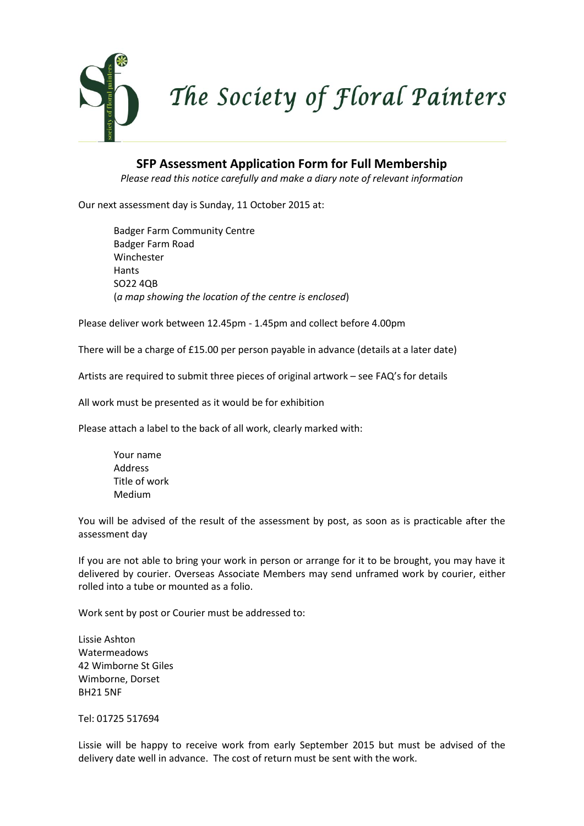

**SFP Assessment Application Form for Full Membership**

*Please read this notice carefully and make a diary note of relevant information*

Our next assessment day is Sunday, 11 October 2015 at:

Badger Farm Community Centre Badger Farm Road Winchester **Hants** SO22 4QB (*a map showing the location of the centre is enclosed*)

Please deliver work between 12.45pm - 1.45pm and collect before 4.00pm

There will be a charge of £15.00 per person payable in advance (details at a later date)

Artists are required to submit three pieces of original artwork – see FAQ's for details

All work must be presented as it would be for exhibition

Please attach a label to the back of all work, clearly marked with:

Your name Address Title of work Medium

You will be advised of the result of the assessment by post, as soon as is practicable after the assessment day

If you are not able to bring your work in person or arrange for it to be brought, you may have it delivered by courier. Overseas Associate Members may send unframed work by courier, either rolled into a tube or mounted as a folio.

Work sent by post or Courier must be addressed to:

Lissie Ashton Watermeadows 42 Wimborne St Giles Wimborne, Dorset BH21 5NF

Tel: 01725 517694

Lissie will be happy to receive work from early September 2015 but must be advised of the delivery date well in advance. The cost of return must be sent with the work.